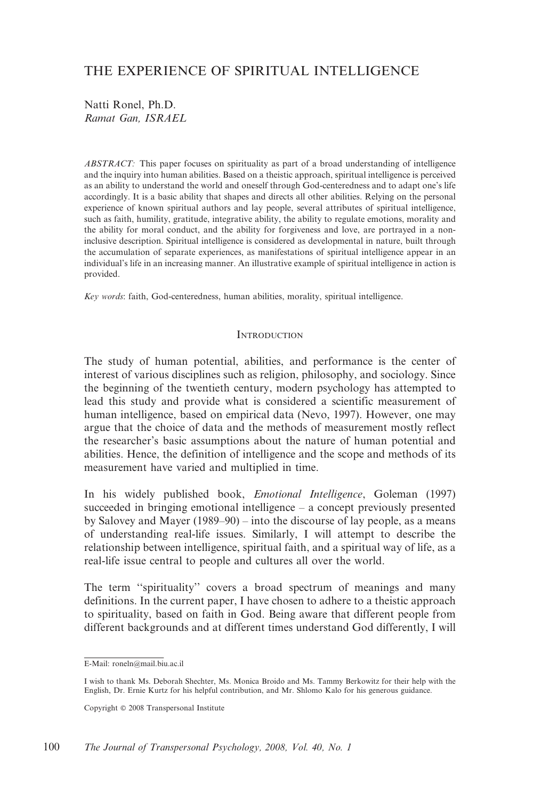# THE EXPERIENCE OF SPIRITUAL INTELLIGENCE

Natti Ronel, Ph.D. Ramat Gan, ISRAEL

ABSTRACT: This paper focuses on spirituality as part of a broad understanding of intelligence and the inquiry into human abilities. Based on a theistic approach, spiritual intelligence is perceived as an ability to understand the world and oneself through God-centeredness and to adapt one's life accordingly. It is a basic ability that shapes and directs all other abilities. Relying on the personal experience of known spiritual authors and lay people, several attributes of spiritual intelligence, such as faith, humility, gratitude, integrative ability, the ability to regulate emotions, morality and the ability for moral conduct, and the ability for forgiveness and love, are portrayed in a noninclusive description. Spiritual intelligence is considered as developmental in nature, built through the accumulation of separate experiences, as manifestations of spiritual intelligence appear in an individual's life in an increasing manner. An illustrative example of spiritual intelligence in action is provided.

Key words: faith, God-centeredness, human abilities, morality, spiritual intelligence.

## **INTRODUCTION**

The study of human potential, abilities, and performance is the center of interest of various disciplines such as religion, philosophy, and sociology. Since the beginning of the twentieth century, modern psychology has attempted to lead this study and provide what is considered a scientific measurement of human intelligence, based on empirical data (Nevo, 1997). However, one may argue that the choice of data and the methods of measurement mostly reflect the researcher's basic assumptions about the nature of human potential and abilities. Hence, the definition of intelligence and the scope and methods of its measurement have varied and multiplied in time.

In his widely published book, Emotional Intelligence, Goleman (1997) succeeded in bringing emotional intelligence – a concept previously presented by Salovey and Mayer (1989–90) – into the discourse of lay people, as a means of understanding real-life issues. Similarly, I will attempt to describe the relationship between intelligence, spiritual faith, and a spiritual way of life, as a real-life issue central to people and cultures all over the world.

The term ''spirituality'' covers a broad spectrum of meanings and many definitions. In the current paper, I have chosen to adhere to a theistic approach to spirituality, based on faith in God. Being aware that different people from different backgrounds and at different times understand God differently, I will

E-Mail: roneln@mail.biu.ac.il

I wish to thank Ms. Deborah Shechter, Ms. Monica Broido and Ms. Tammy Berkowitz for their help with the English, Dr. Ernie Kurtz for his helpful contribution, and Mr. Shlomo Kalo for his generous guidance.

Copyright  $@$  2008 Transpersonal Institute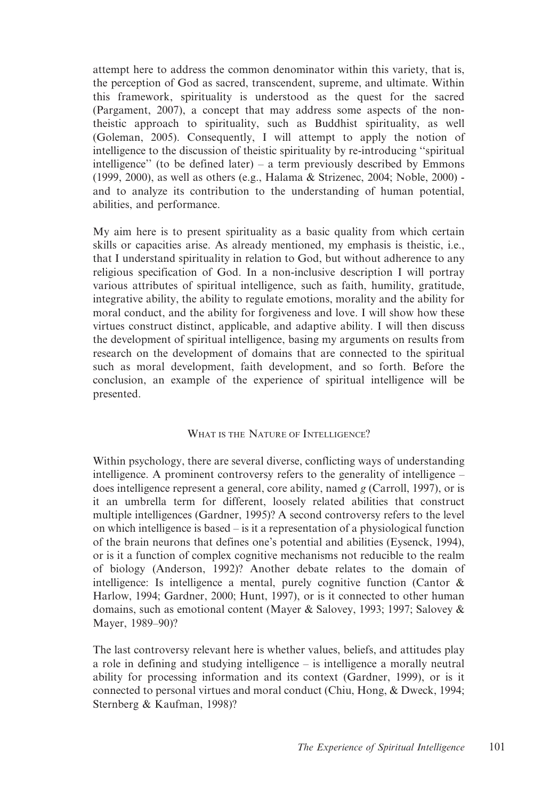attempt here to address the common denominator within this variety, that is, the perception of God as sacred, transcendent, supreme, and ultimate. Within this framework, spirituality is understood as the quest for the sacred (Pargament, 2007), a concept that may address some aspects of the nontheistic approach to spirituality, such as Buddhist spirituality, as well (Goleman, 2005). Consequently, I will attempt to apply the notion of intelligence to the discussion of theistic spirituality by re-introducing ''spiritual intelligence'' (to be defined later) – a term previously described by Emmons (1999, 2000), as well as others (e.g., Halama & Strizenec, 2004; Noble, 2000) and to analyze its contribution to the understanding of human potential, abilities, and performance.

My aim here is to present spirituality as a basic quality from which certain skills or capacities arise. As already mentioned, my emphasis is theistic, i.e., that I understand spirituality in relation to God, but without adherence to any religious specification of God. In a non-inclusive description I will portray various attributes of spiritual intelligence, such as faith, humility, gratitude, integrative ability, the ability to regulate emotions, morality and the ability for moral conduct, and the ability for forgiveness and love. I will show how these virtues construct distinct, applicable, and adaptive ability. I will then discuss the development of spiritual intelligence, basing my arguments on results from research on the development of domains that are connected to the spiritual such as moral development, faith development, and so forth. Before the conclusion, an example of the experience of spiritual intelligence will be presented.

## WHAT IS THE NATURE OF INTELLIGENCE?

Within psychology, there are several diverse, conflicting ways of understanding intelligence. A prominent controversy refers to the generality of intelligence – does intelligence represent a general, core ability, named g (Carroll, 1997), or is it an umbrella term for different, loosely related abilities that construct multiple intelligences (Gardner, 1995)? A second controversy refers to the level on which intelligence is based – is it a representation of a physiological function of the brain neurons that defines one's potential and abilities (Eysenck, 1994), or is it a function of complex cognitive mechanisms not reducible to the realm of biology (Anderson, 1992)? Another debate relates to the domain of intelligence: Is intelligence a mental, purely cognitive function (Cantor  $\&$ Harlow, 1994; Gardner, 2000; Hunt, 1997), or is it connected to other human domains, such as emotional content (Mayer & Salovey, 1993; 1997; Salovey & Mayer, 1989–90)?

The last controversy relevant here is whether values, beliefs, and attitudes play a role in defining and studying intelligence – is intelligence a morally neutral ability for processing information and its context (Gardner, 1999), or is it connected to personal virtues and moral conduct (Chiu, Hong, & Dweck, 1994; Sternberg & Kaufman, 1998)?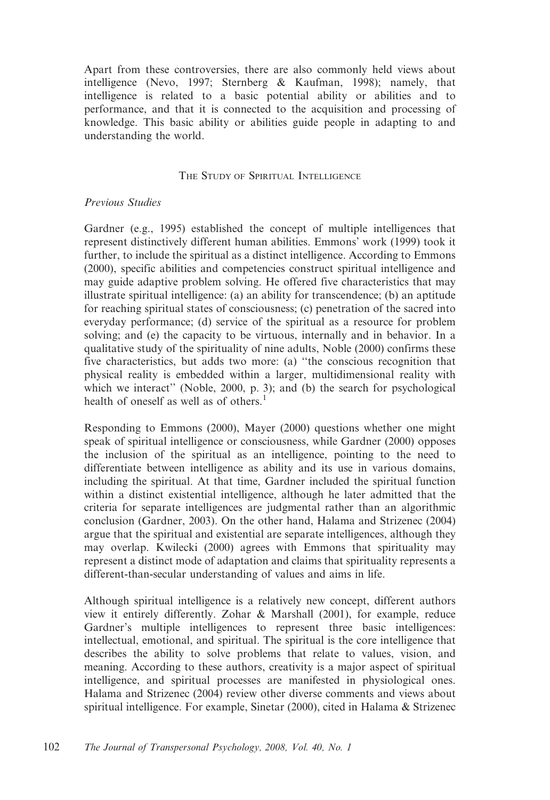Apart from these controversies, there are also commonly held views about intelligence (Nevo, 1997; Sternberg & Kaufman, 1998); namely, that intelligence is related to a basic potential ability or abilities and to performance, and that it is connected to the acquisition and processing of knowledge. This basic ability or abilities guide people in adapting to and understanding the world.

# THE STUDY OF SPIRITUAL INTELLIGENCE

# Previous Studies

Gardner (e.g., 1995) established the concept of multiple intelligences that represent distinctively different human abilities. Emmons' work (1999) took it further, to include the spiritual as a distinct intelligence. According to Emmons (2000), specific abilities and competencies construct spiritual intelligence and may guide adaptive problem solving. He offered five characteristics that may illustrate spiritual intelligence: (a) an ability for transcendence; (b) an aptitude for reaching spiritual states of consciousness; (c) penetration of the sacred into everyday performance; (d) service of the spiritual as a resource for problem solving; and (e) the capacity to be virtuous, internally and in behavior. In a qualitative study of the spirituality of nine adults, Noble (2000) confirms these five characteristics, but adds two more: (a) ''the conscious recognition that physical reality is embedded within a larger, multidimensional reality with which we interact" (Noble, 2000, p. 3); and (b) the search for psychological health of oneself as well as of others.<sup>1</sup>

Responding to Emmons (2000), Mayer (2000) questions whether one might speak of spiritual intelligence or consciousness, while Gardner (2000) opposes the inclusion of the spiritual as an intelligence, pointing to the need to differentiate between intelligence as ability and its use in various domains, including the spiritual. At that time, Gardner included the spiritual function within a distinct existential intelligence, although he later admitted that the criteria for separate intelligences are judgmental rather than an algorithmic conclusion (Gardner, 2003). On the other hand, Halama and Strizenec (2004) argue that the spiritual and existential are separate intelligences, although they may overlap. Kwilecki (2000) agrees with Emmons that spirituality may represent a distinct mode of adaptation and claims that spirituality represents a different-than-secular understanding of values and aims in life.

Although spiritual intelligence is a relatively new concept, different authors view it entirely differently. Zohar & Marshall (2001), for example, reduce Gardner's multiple intelligences to represent three basic intelligences: intellectual, emotional, and spiritual. The spiritual is the core intelligence that describes the ability to solve problems that relate to values, vision, and meaning. According to these authors, creativity is a major aspect of spiritual intelligence, and spiritual processes are manifested in physiological ones. Halama and Strizenec (2004) review other diverse comments and views about spiritual intelligence. For example, Sinetar (2000), cited in Halama & Strizenec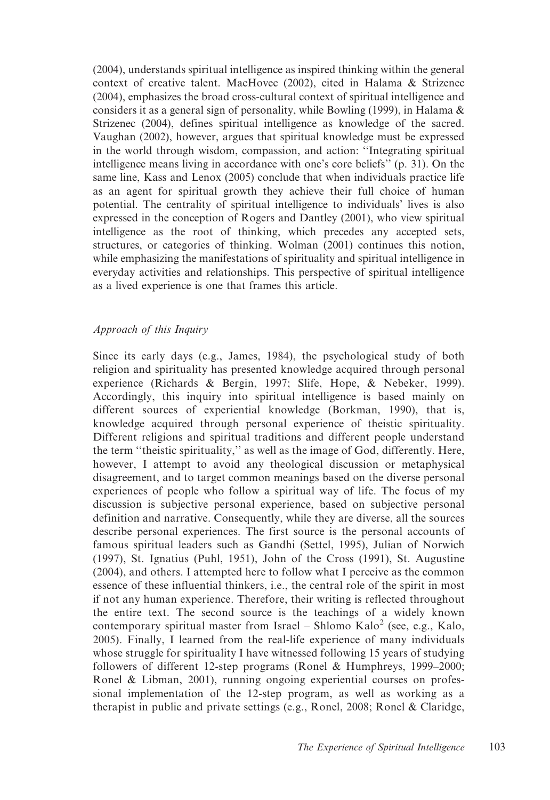(2004), understands spiritual intelligence as inspired thinking within the general context of creative talent. MacHovec (2002), cited in Halama & Strizenec (2004), emphasizes the broad cross-cultural context of spiritual intelligence and considers it as a general sign of personality, while Bowling (1999), in Halama & Strizenec (2004), defines spiritual intelligence as knowledge of the sacred. Vaughan (2002), however, argues that spiritual knowledge must be expressed in the world through wisdom, compassion, and action: ''Integrating spiritual intelligence means living in accordance with one's core beliefs'' (p. 31). On the same line, Kass and Lenox (2005) conclude that when individuals practice life as an agent for spiritual growth they achieve their full choice of human potential. The centrality of spiritual intelligence to individuals' lives is also expressed in the conception of Rogers and Dantley (2001), who view spiritual intelligence as the root of thinking, which precedes any accepted sets, structures, or categories of thinking. Wolman (2001) continues this notion, while emphasizing the manifestations of spirituality and spiritual intelligence in everyday activities and relationships. This perspective of spiritual intelligence as a lived experience is one that frames this article.

# Approach of this Inquiry

Since its early days (e.g., James, 1984), the psychological study of both religion and spirituality has presented knowledge acquired through personal experience (Richards & Bergin, 1997; Slife, Hope, & Nebeker, 1999). Accordingly, this inquiry into spiritual intelligence is based mainly on different sources of experiential knowledge (Borkman, 1990), that is, knowledge acquired through personal experience of theistic spirituality. Different religions and spiritual traditions and different people understand the term ''theistic spirituality,'' as well as the image of God, differently. Here, however, I attempt to avoid any theological discussion or metaphysical disagreement, and to target common meanings based on the diverse personal experiences of people who follow a spiritual way of life. The focus of my discussion is subjective personal experience, based on subjective personal definition and narrative. Consequently, while they are diverse, all the sources describe personal experiences. The first source is the personal accounts of famous spiritual leaders such as Gandhi (Settel, 1995), Julian of Norwich (1997), St. Ignatius (Puhl, 1951), John of the Cross (1991), St. Augustine (2004), and others. I attempted here to follow what I perceive as the common essence of these influential thinkers, i.e., the central role of the spirit in most if not any human experience. Therefore, their writing is reflected throughout the entire text. The second source is the teachings of a widely known contemporary spiritual master from Israel – Shlomo Kalo<sup>2</sup> (see, e.g., Kalo, 2005). Finally, I learned from the real-life experience of many individuals whose struggle for spirituality I have witnessed following 15 years of studying followers of different 12-step programs (Ronel & Humphreys, 1999–2000; Ronel & Libman, 2001), running ongoing experiential courses on professional implementation of the 12-step program, as well as working as a therapist in public and private settings (e.g., Ronel, 2008; Ronel & Claridge,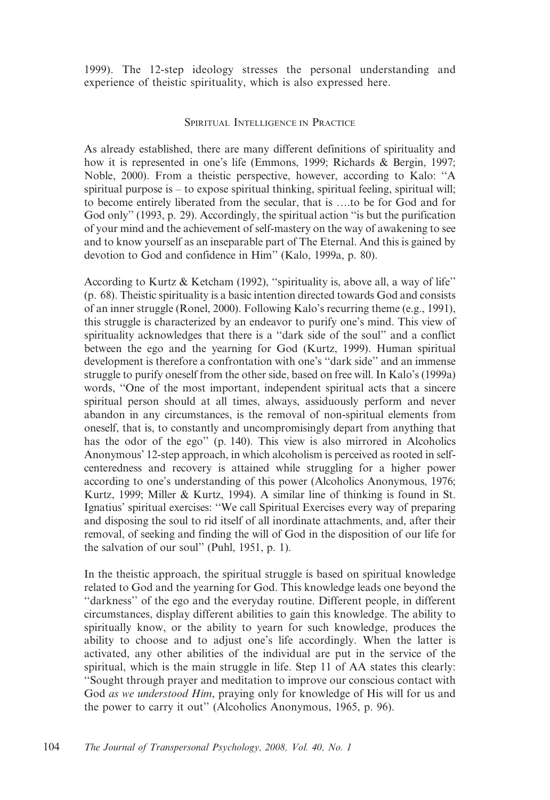1999). The 12-step ideology stresses the personal understanding and experience of theistic spirituality, which is also expressed here.

# SPIRITUAL INTELLIGENCE IN PRACTICE

As already established, there are many different definitions of spirituality and how it is represented in one's life (Emmons, 1999; Richards & Bergin, 1997; Noble, 2000). From a theistic perspective, however, according to Kalo: ''A spiritual purpose is – to expose spiritual thinking, spiritual feeling, spiritual will; to become entirely liberated from the secular, that is ….to be for God and for God only" (1993, p. 29). Accordingly, the spiritual action "is but the purification" of your mind and the achievement of self-mastery on the way of awakening to see and to know yourself as an inseparable part of The Eternal. And this is gained by devotion to God and confidence in Him'' (Kalo, 1999a, p. 80).

According to Kurtz & Ketcham (1992), ''spirituality is, above all, a way of life'' (p. 68). Theistic spirituality is a basic intention directed towards God and consists of an inner struggle (Ronel, 2000). Following Kalo's recurring theme (e.g., 1991), this struggle is characterized by an endeavor to purify one's mind. This view of spirituality acknowledges that there is a ''dark side of the soul'' and a conflict between the ego and the yearning for God (Kurtz, 1999). Human spiritual development is therefore a confrontation with one's ''dark side'' and an immense struggle to purify oneself from the other side, based on free will. In Kalo's (1999a) words, ''One of the most important, independent spiritual acts that a sincere spiritual person should at all times, always, assiduously perform and never abandon in any circumstances, is the removal of non-spiritual elements from oneself, that is, to constantly and uncompromisingly depart from anything that has the odor of the ego'' (p. 140). This view is also mirrored in Alcoholics Anonymous' 12-step approach, in which alcoholism is perceived as rooted in selfcenteredness and recovery is attained while struggling for a higher power according to one's understanding of this power (Alcoholics Anonymous, 1976; Kurtz, 1999; Miller & Kurtz, 1994). A similar line of thinking is found in St. Ignatius' spiritual exercises: ''We call Spiritual Exercises every way of preparing and disposing the soul to rid itself of all inordinate attachments, and, after their removal, of seeking and finding the will of God in the disposition of our life for the salvation of our soul'' (Puhl, 1951, p. 1).

In the theistic approach, the spiritual struggle is based on spiritual knowledge related to God and the yearning for God. This knowledge leads one beyond the ''darkness'' of the ego and the everyday routine. Different people, in different circumstances, display different abilities to gain this knowledge. The ability to spiritually know, or the ability to yearn for such knowledge, produces the ability to choose and to adjust one's life accordingly. When the latter is activated, any other abilities of the individual are put in the service of the spiritual, which is the main struggle in life. Step 11 of AA states this clearly: ''Sought through prayer and meditation to improve our conscious contact with God as we understood Him, praying only for knowledge of His will for us and the power to carry it out'' (Alcoholics Anonymous, 1965, p. 96).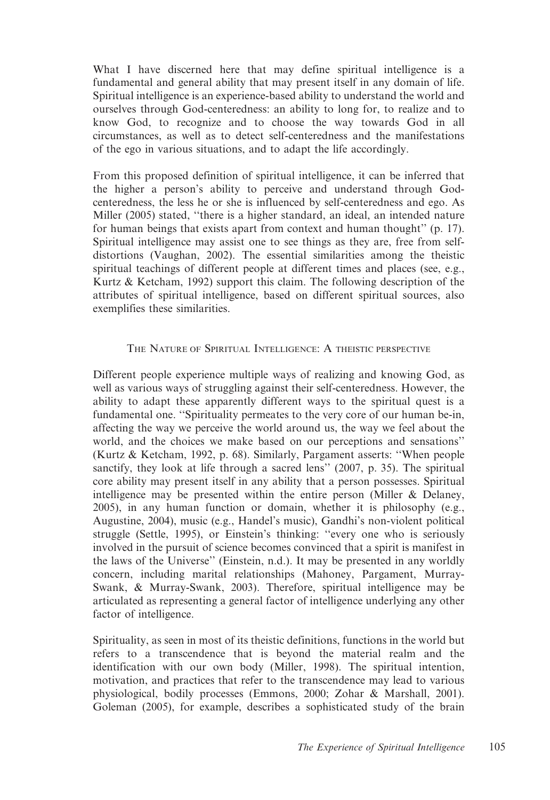What I have discerned here that may define spiritual intelligence is a fundamental and general ability that may present itself in any domain of life. Spiritual intelligence is an experience-based ability to understand the world and ourselves through God-centeredness: an ability to long for, to realize and to know God, to recognize and to choose the way towards God in all circumstances, as well as to detect self-centeredness and the manifestations of the ego in various situations, and to adapt the life accordingly.

From this proposed definition of spiritual intelligence, it can be inferred that the higher a person's ability to perceive and understand through Godcenteredness, the less he or she is influenced by self-centeredness and ego. As Miller (2005) stated, ''there is a higher standard, an ideal, an intended nature for human beings that exists apart from context and human thought'' (p. 17). Spiritual intelligence may assist one to see things as they are, free from selfdistortions (Vaughan, 2002). The essential similarities among the theistic spiritual teachings of different people at different times and places (see, e.g., Kurtz & Ketcham, 1992) support this claim. The following description of the attributes of spiritual intelligence, based on different spiritual sources, also exemplifies these similarities.

# THE NATURE OF SPIRITUAL INTELLIGENCE: A THEISTIC PERSPECTIVE

Different people experience multiple ways of realizing and knowing God, as well as various ways of struggling against their self-centeredness. However, the ability to adapt these apparently different ways to the spiritual quest is a fundamental one. ''Spirituality permeates to the very core of our human be-in, affecting the way we perceive the world around us, the way we feel about the world, and the choices we make based on our perceptions and sensations'' (Kurtz & Ketcham, 1992, p. 68). Similarly, Pargament asserts: ''When people sanctify, they look at life through a sacred lens'' (2007, p. 35). The spiritual core ability may present itself in any ability that a person possesses. Spiritual intelligence may be presented within the entire person (Miller & Delaney, 2005), in any human function or domain, whether it is philosophy (e.g., Augustine, 2004), music (e.g., Handel's music), Gandhi's non-violent political struggle (Settle, 1995), or Einstein's thinking: ''every one who is seriously involved in the pursuit of science becomes convinced that a spirit is manifest in the laws of the Universe'' (Einstein, n.d.). It may be presented in any worldly concern, including marital relationships (Mahoney, Pargament, Murray-Swank, & Murray-Swank, 2003). Therefore, spiritual intelligence may be articulated as representing a general factor of intelligence underlying any other factor of intelligence.

Spirituality, as seen in most of its theistic definitions, functions in the world but refers to a transcendence that is beyond the material realm and the identification with our own body (Miller, 1998). The spiritual intention, motivation, and practices that refer to the transcendence may lead to various physiological, bodily processes (Emmons, 2000; Zohar & Marshall, 2001). Goleman (2005), for example, describes a sophisticated study of the brain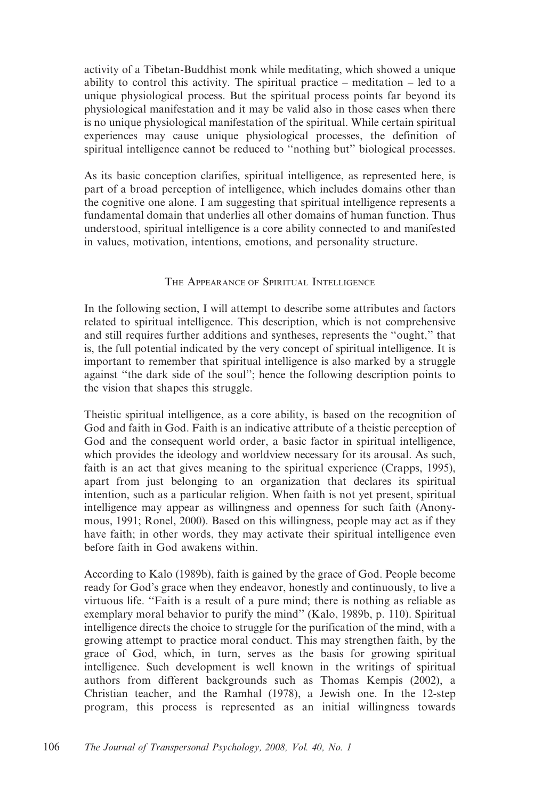activity of a Tibetan-Buddhist monk while meditating, which showed a unique ability to control this activity. The spiritual practice – meditation – led to a unique physiological process. But the spiritual process points far beyond its physiological manifestation and it may be valid also in those cases when there is no unique physiological manifestation of the spiritual. While certain spiritual experiences may cause unique physiological processes, the definition of spiritual intelligence cannot be reduced to "nothing but" biological processes.

As its basic conception clarifies, spiritual intelligence, as represented here, is part of a broad perception of intelligence, which includes domains other than the cognitive one alone. I am suggesting that spiritual intelligence represents a fundamental domain that underlies all other domains of human function. Thus understood, spiritual intelligence is a core ability connected to and manifested in values, motivation, intentions, emotions, and personality structure.

## THE APPEARANCE OF SPIRITUAL INTELLIGENCE

In the following section, I will attempt to describe some attributes and factors related to spiritual intelligence. This description, which is not comprehensive and still requires further additions and syntheses, represents the ''ought,'' that is, the full potential indicated by the very concept of spiritual intelligence. It is important to remember that spiritual intelligence is also marked by a struggle against ''the dark side of the soul''; hence the following description points to the vision that shapes this struggle.

Theistic spiritual intelligence, as a core ability, is based on the recognition of God and faith in God. Faith is an indicative attribute of a theistic perception of God and the consequent world order, a basic factor in spiritual intelligence, which provides the ideology and worldview necessary for its arousal. As such, faith is an act that gives meaning to the spiritual experience (Crapps, 1995), apart from just belonging to an organization that declares its spiritual intention, such as a particular religion. When faith is not yet present, spiritual intelligence may appear as willingness and openness for such faith (Anonymous, 1991; Ronel, 2000). Based on this willingness, people may act as if they have faith; in other words, they may activate their spiritual intelligence even before faith in God awakens within.

According to Kalo (1989b), faith is gained by the grace of God. People become ready for God's grace when they endeavor, honestly and continuously, to live a virtuous life. ''Faith is a result of a pure mind; there is nothing as reliable as exemplary moral behavior to purify the mind'' (Kalo, 1989b, p. 110). Spiritual intelligence directs the choice to struggle for the purification of the mind, with a growing attempt to practice moral conduct. This may strengthen faith, by the grace of God, which, in turn, serves as the basis for growing spiritual intelligence. Such development is well known in the writings of spiritual authors from different backgrounds such as Thomas Kempis (2002), a Christian teacher, and the Ramhal (1978), a Jewish one. In the 12-step program, this process is represented as an initial willingness towards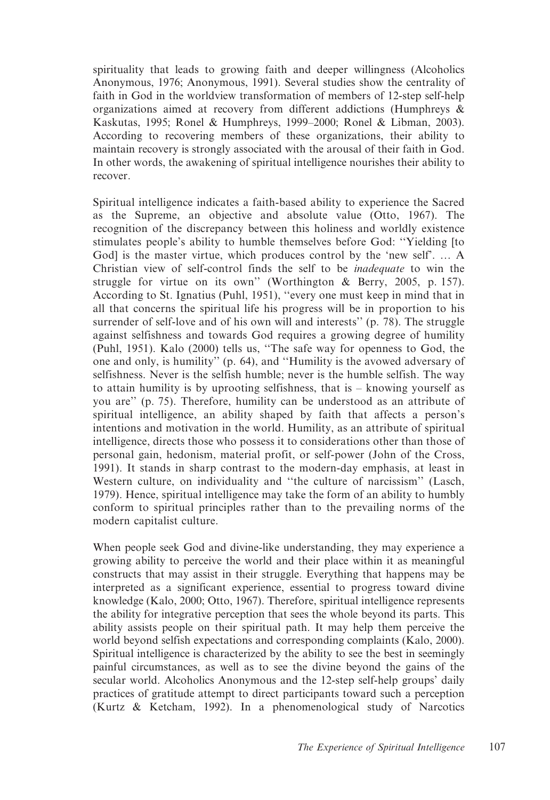spirituality that leads to growing faith and deeper willingness (Alcoholics Anonymous, 1976; Anonymous, 1991). Several studies show the centrality of faith in God in the worldview transformation of members of 12-step self-help organizations aimed at recovery from different addictions (Humphreys & Kaskutas, 1995; Ronel & Humphreys, 1999–2000; Ronel & Libman, 2003). According to recovering members of these organizations, their ability to maintain recovery is strongly associated with the arousal of their faith in God. In other words, the awakening of spiritual intelligence nourishes their ability to recover.

Spiritual intelligence indicates a faith-based ability to experience the Sacred as the Supreme, an objective and absolute value (Otto, 1967). The recognition of the discrepancy between this holiness and worldly existence stimulates people's ability to humble themselves before God: ''Yielding [to Godl is the master virtue, which produces control by the 'new self'. ... A Christian view of self-control finds the self to be inadequate to win the struggle for virtue on its own'' (Worthington & Berry, 2005, p. 157). According to St. Ignatius (Puhl, 1951), ''every one must keep in mind that in all that concerns the spiritual life his progress will be in proportion to his surrender of self-love and of his own will and interests'' (p. 78). The struggle against selfishness and towards God requires a growing degree of humility (Puhl, 1951). Kalo (2000) tells us, ''The safe way for openness to God, the one and only, is humility'' (p. 64), and ''Humility is the avowed adversary of selfishness. Never is the selfish humble; never is the humble selfish. The way to attain humility is by uprooting selfishness, that is – knowing yourself as you are'' (p. 75). Therefore, humility can be understood as an attribute of spiritual intelligence, an ability shaped by faith that affects a person's intentions and motivation in the world. Humility, as an attribute of spiritual intelligence, directs those who possess it to considerations other than those of personal gain, hedonism, material profit, or self-power (John of the Cross, 1991). It stands in sharp contrast to the modern-day emphasis, at least in Western culture, on individuality and ''the culture of narcissism'' (Lasch, 1979). Hence, spiritual intelligence may take the form of an ability to humbly conform to spiritual principles rather than to the prevailing norms of the modern capitalist culture.

When people seek God and divine-like understanding, they may experience a growing ability to perceive the world and their place within it as meaningful constructs that may assist in their struggle. Everything that happens may be interpreted as a significant experience, essential to progress toward divine knowledge (Kalo, 2000; Otto, 1967). Therefore, spiritual intelligence represents the ability for integrative perception that sees the whole beyond its parts. This ability assists people on their spiritual path. It may help them perceive the world beyond selfish expectations and corresponding complaints (Kalo, 2000). Spiritual intelligence is characterized by the ability to see the best in seemingly painful circumstances, as well as to see the divine beyond the gains of the secular world. Alcoholics Anonymous and the 12-step self-help groups' daily practices of gratitude attempt to direct participants toward such a perception (Kurtz & Ketcham, 1992). In a phenomenological study of Narcotics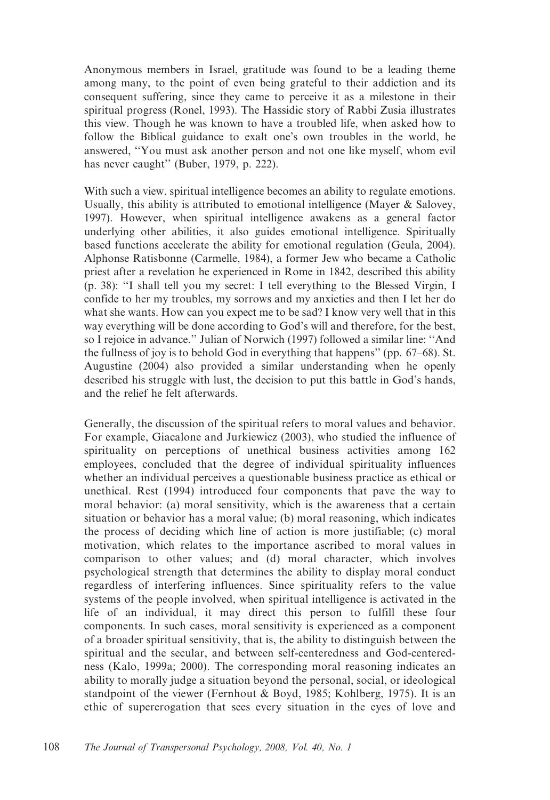Anonymous members in Israel, gratitude was found to be a leading theme among many, to the point of even being grateful to their addiction and its consequent suffering, since they came to perceive it as a milestone in their spiritual progress (Ronel, 1993). The Hassidic story of Rabbi Zusia illustrates this view. Though he was known to have a troubled life, when asked how to follow the Biblical guidance to exalt one's own troubles in the world, he answered, ''You must ask another person and not one like myself, whom evil has never caught" (Buber, 1979, p. 222).

With such a view, spiritual intelligence becomes an ability to regulate emotions. Usually, this ability is attributed to emotional intelligence (Mayer & Salovey, 1997). However, when spiritual intelligence awakens as a general factor underlying other abilities, it also guides emotional intelligence. Spiritually based functions accelerate the ability for emotional regulation (Geula, 2004). Alphonse Ratisbonne (Carmelle, 1984), a former Jew who became a Catholic priest after a revelation he experienced in Rome in 1842, described this ability (p. 38): ''I shall tell you my secret: I tell everything to the Blessed Virgin, I confide to her my troubles, my sorrows and my anxieties and then I let her do what she wants. How can you expect me to be sad? I know very well that in this way everything will be done according to God's will and therefore, for the best, so I rejoice in advance.'' Julian of Norwich (1997) followed a similar line: ''And the fullness of joy is to behold God in everything that happens'' (pp. 67–68). St. Augustine (2004) also provided a similar understanding when he openly described his struggle with lust, the decision to put this battle in God's hands, and the relief he felt afterwards.

Generally, the discussion of the spiritual refers to moral values and behavior. For example, Giacalone and Jurkiewicz (2003), who studied the influence of spirituality on perceptions of unethical business activities among 162 employees, concluded that the degree of individual spirituality influences whether an individual perceives a questionable business practice as ethical or unethical. Rest (1994) introduced four components that pave the way to moral behavior: (a) moral sensitivity, which is the awareness that a certain situation or behavior has a moral value; (b) moral reasoning, which indicates the process of deciding which line of action is more justifiable; (c) moral motivation, which relates to the importance ascribed to moral values in comparison to other values; and (d) moral character, which involves psychological strength that determines the ability to display moral conduct regardless of interfering influences. Since spirituality refers to the value systems of the people involved, when spiritual intelligence is activated in the life of an individual, it may direct this person to fulfill these four components. In such cases, moral sensitivity is experienced as a component of a broader spiritual sensitivity, that is, the ability to distinguish between the spiritual and the secular, and between self-centeredness and God-centeredness (Kalo, 1999a; 2000). The corresponding moral reasoning indicates an ability to morally judge a situation beyond the personal, social, or ideological standpoint of the viewer (Fernhout & Boyd, 1985; Kohlberg, 1975). It is an ethic of supererogation that sees every situation in the eyes of love and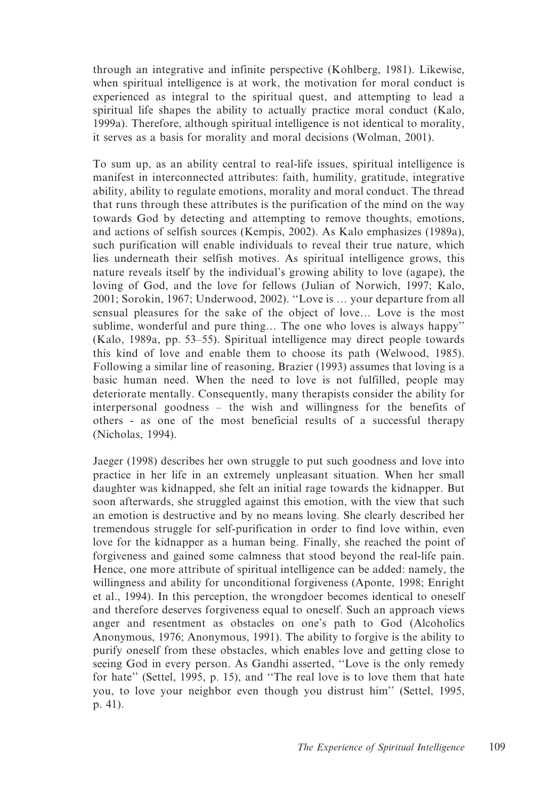through an integrative and infinite perspective (Kohlberg, 1981). Likewise, when spiritual intelligence is at work, the motivation for moral conduct is experienced as integral to the spiritual quest, and attempting to lead a spiritual life shapes the ability to actually practice moral conduct (Kalo, 1999a). Therefore, although spiritual intelligence is not identical to morality, it serves as a basis for morality and moral decisions (Wolman, 2001).

To sum up, as an ability central to real-life issues, spiritual intelligence is manifest in interconnected attributes: faith, humility, gratitude, integrative ability, ability to regulate emotions, morality and moral conduct. The thread that runs through these attributes is the purification of the mind on the way towards God by detecting and attempting to remove thoughts, emotions, and actions of selfish sources (Kempis, 2002). As Kalo emphasizes (1989a), such purification will enable individuals to reveal their true nature, which lies underneath their selfish motives. As spiritual intelligence grows, this nature reveals itself by the individual's growing ability to love (agape), the loving of God, and the love for fellows (Julian of Norwich, 1997; Kalo, 2001; Sorokin, 1967; Underwood, 2002). ''Love is … your departure from all sensual pleasures for the sake of the object of love… Love is the most sublime, wonderful and pure thing… The one who loves is always happy'' (Kalo, 1989a, pp. 53–55). Spiritual intelligence may direct people towards this kind of love and enable them to choose its path (Welwood, 1985). Following a similar line of reasoning, Brazier (1993) assumes that loving is a basic human need. When the need to love is not fulfilled, people may deteriorate mentally. Consequently, many therapists consider the ability for interpersonal goodness – the wish and willingness for the benefits of others - as one of the most beneficial results of a successful therapy (Nicholas, 1994).

Jaeger (1998) describes her own struggle to put such goodness and love into practice in her life in an extremely unpleasant situation. When her small daughter was kidnapped, she felt an initial rage towards the kidnapper. But soon afterwards, she struggled against this emotion, with the view that such an emotion is destructive and by no means loving. She clearly described her tremendous struggle for self-purification in order to find love within, even love for the kidnapper as a human being. Finally, she reached the point of forgiveness and gained some calmness that stood beyond the real-life pain. Hence, one more attribute of spiritual intelligence can be added: namely, the willingness and ability for unconditional forgiveness (Aponte, 1998; Enright et al., 1994). In this perception, the wrongdoer becomes identical to oneself and therefore deserves forgiveness equal to oneself. Such an approach views anger and resentment as obstacles on one's path to God (Alcoholics Anonymous, 1976; Anonymous, 1991). The ability to forgive is the ability to purify oneself from these obstacles, which enables love and getting close to seeing God in every person. As Gandhi asserted, ''Love is the only remedy for hate'' (Settel, 1995, p. 15), and ''The real love is to love them that hate you, to love your neighbor even though you distrust him'' (Settel, 1995, p. 41).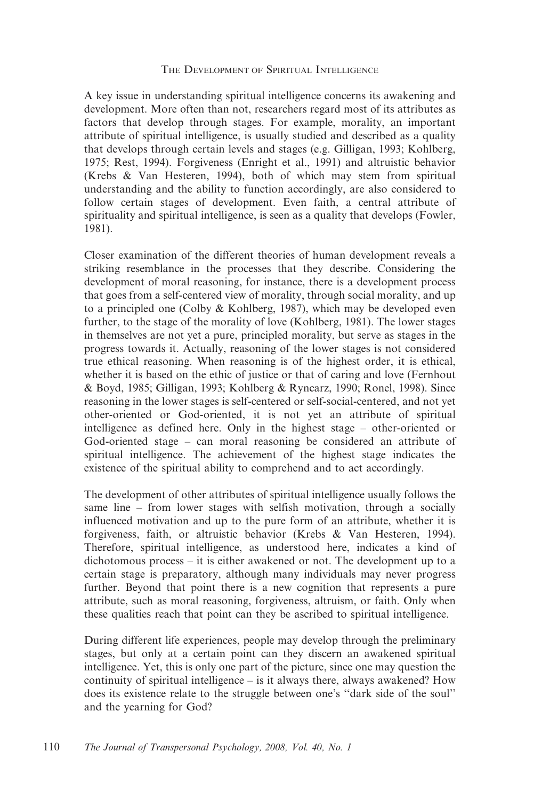## THE DEVELOPMENT OF SPIRITUAL INTELLIGENCE

A key issue in understanding spiritual intelligence concerns its awakening and development. More often than not, researchers regard most of its attributes as factors that develop through stages. For example, morality, an important attribute of spiritual intelligence, is usually studied and described as a quality that develops through certain levels and stages (e.g. Gilligan, 1993; Kohlberg, 1975; Rest, 1994). Forgiveness (Enright et al., 1991) and altruistic behavior (Krebs & Van Hesteren, 1994), both of which may stem from spiritual understanding and the ability to function accordingly, are also considered to follow certain stages of development. Even faith, a central attribute of spirituality and spiritual intelligence, is seen as a quality that develops (Fowler, 1981).

Closer examination of the different theories of human development reveals a striking resemblance in the processes that they describe. Considering the development of moral reasoning, for instance, there is a development process that goes from a self-centered view of morality, through social morality, and up to a principled one (Colby & Kohlberg, 1987), which may be developed even further, to the stage of the morality of love (Kohlberg, 1981). The lower stages in themselves are not yet a pure, principled morality, but serve as stages in the progress towards it. Actually, reasoning of the lower stages is not considered true ethical reasoning. When reasoning is of the highest order, it is ethical, whether it is based on the ethic of justice or that of caring and love (Fernhout & Boyd, 1985; Gilligan, 1993; Kohlberg & Ryncarz, 1990; Ronel, 1998). Since reasoning in the lower stages is self-centered or self-social-centered, and not yet other-oriented or God-oriented, it is not yet an attribute of spiritual intelligence as defined here. Only in the highest stage – other-oriented or God-oriented stage – can moral reasoning be considered an attribute of spiritual intelligence. The achievement of the highest stage indicates the existence of the spiritual ability to comprehend and to act accordingly.

The development of other attributes of spiritual intelligence usually follows the same line – from lower stages with selfish motivation, through a socially influenced motivation and up to the pure form of an attribute, whether it is forgiveness, faith, or altruistic behavior (Krebs & Van Hesteren, 1994). Therefore, spiritual intelligence, as understood here, indicates a kind of dichotomous process – it is either awakened or not. The development up to a certain stage is preparatory, although many individuals may never progress further. Beyond that point there is a new cognition that represents a pure attribute, such as moral reasoning, forgiveness, altruism, or faith. Only when these qualities reach that point can they be ascribed to spiritual intelligence.

During different life experiences, people may develop through the preliminary stages, but only at a certain point can they discern an awakened spiritual intelligence. Yet, this is only one part of the picture, since one may question the continuity of spiritual intelligence – is it always there, always awakened? How does its existence relate to the struggle between one's ''dark side of the soul'' and the yearning for God?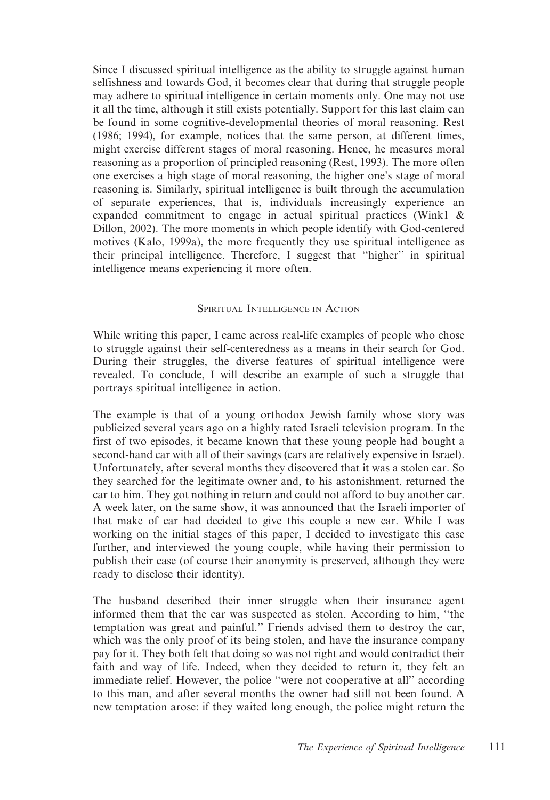Since I discussed spiritual intelligence as the ability to struggle against human selfishness and towards God, it becomes clear that during that struggle people may adhere to spiritual intelligence in certain moments only. One may not use it all the time, although it still exists potentially. Support for this last claim can be found in some cognitive-developmental theories of moral reasoning. Rest (1986; 1994), for example, notices that the same person, at different times, might exercise different stages of moral reasoning. Hence, he measures moral reasoning as a proportion of principled reasoning (Rest, 1993). The more often one exercises a high stage of moral reasoning, the higher one's stage of moral reasoning is. Similarly, spiritual intelligence is built through the accumulation of separate experiences, that is, individuals increasingly experience an expanded commitment to engage in actual spiritual practices (Wink1 & Dillon, 2002). The more moments in which people identify with God-centered motives (Kalo, 1999a), the more frequently they use spiritual intelligence as their principal intelligence. Therefore, I suggest that ''higher'' in spiritual intelligence means experiencing it more often.

# SPIRITUAL INTELLIGENCE IN ACTION

While writing this paper, I came across real-life examples of people who chose to struggle against their self-centeredness as a means in their search for God. During their struggles, the diverse features of spiritual intelligence were revealed. To conclude, I will describe an example of such a struggle that portrays spiritual intelligence in action.

The example is that of a young orthodox Jewish family whose story was publicized several years ago on a highly rated Israeli television program. In the first of two episodes, it became known that these young people had bought a second-hand car with all of their savings (cars are relatively expensive in Israel). Unfortunately, after several months they discovered that it was a stolen car. So they searched for the legitimate owner and, to his astonishment, returned the car to him. They got nothing in return and could not afford to buy another car. A week later, on the same show, it was announced that the Israeli importer of that make of car had decided to give this couple a new car. While I was working on the initial stages of this paper, I decided to investigate this case further, and interviewed the young couple, while having their permission to publish their case (of course their anonymity is preserved, although they were ready to disclose their identity).

The husband described their inner struggle when their insurance agent informed them that the car was suspected as stolen. According to him, ''the temptation was great and painful.'' Friends advised them to destroy the car, which was the only proof of its being stolen, and have the insurance company pay for it. They both felt that doing so was not right and would contradict their faith and way of life. Indeed, when they decided to return it, they felt an immediate relief. However, the police ''were not cooperative at all'' according to this man, and after several months the owner had still not been found. A new temptation arose: if they waited long enough, the police might return the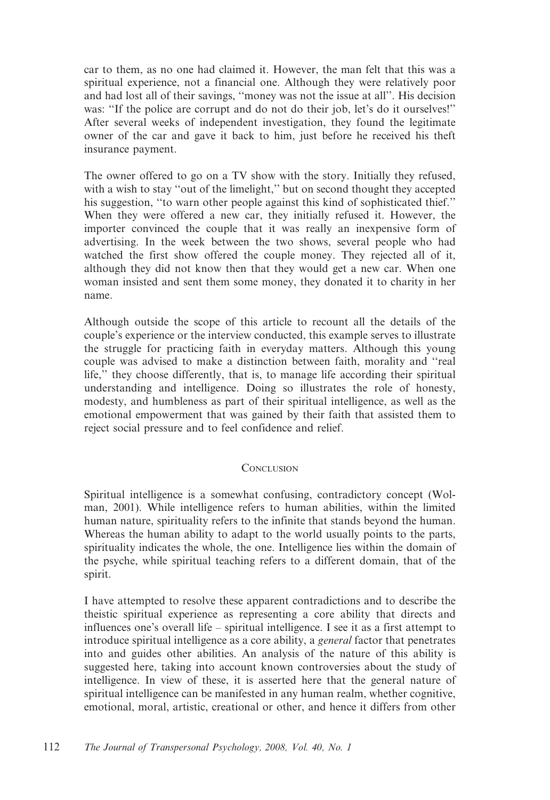car to them, as no one had claimed it. However, the man felt that this was a spiritual experience, not a financial one. Although they were relatively poor and had lost all of their savings, ''money was not the issue at all''. His decision was: "If the police are corrupt and do not do their job, let's do it ourselves!" After several weeks of independent investigation, they found the legitimate owner of the car and gave it back to him, just before he received his theft insurance payment.

The owner offered to go on a TV show with the story. Initially they refused, with a wish to stay "out of the limelight," but on second thought they accepted his suggestion, ''to warn other people against this kind of sophisticated thief.'' When they were offered a new car, they initially refused it. However, the importer convinced the couple that it was really an inexpensive form of advertising. In the week between the two shows, several people who had watched the first show offered the couple money. They rejected all of it, although they did not know then that they would get a new car. When one woman insisted and sent them some money, they donated it to charity in her name.

Although outside the scope of this article to recount all the details of the couple's experience or the interview conducted, this example serves to illustrate the struggle for practicing faith in everyday matters. Although this young couple was advised to make a distinction between faith, morality and ''real life,'' they choose differently, that is, to manage life according their spiritual understanding and intelligence. Doing so illustrates the role of honesty, modesty, and humbleness as part of their spiritual intelligence, as well as the emotional empowerment that was gained by their faith that assisted them to reject social pressure and to feel confidence and relief.

## **CONCLUSION**

Spiritual intelligence is a somewhat confusing, contradictory concept (Wolman, 2001). While intelligence refers to human abilities, within the limited human nature, spirituality refers to the infinite that stands beyond the human. Whereas the human ability to adapt to the world usually points to the parts, spirituality indicates the whole, the one. Intelligence lies within the domain of the psyche, while spiritual teaching refers to a different domain, that of the spirit.

I have attempted to resolve these apparent contradictions and to describe the theistic spiritual experience as representing a core ability that directs and influences one's overall life – spiritual intelligence. I see it as a first attempt to introduce spiritual intelligence as a core ability, a general factor that penetrates into and guides other abilities. An analysis of the nature of this ability is suggested here, taking into account known controversies about the study of intelligence. In view of these, it is asserted here that the general nature of spiritual intelligence can be manifested in any human realm, whether cognitive, emotional, moral, artistic, creational or other, and hence it differs from other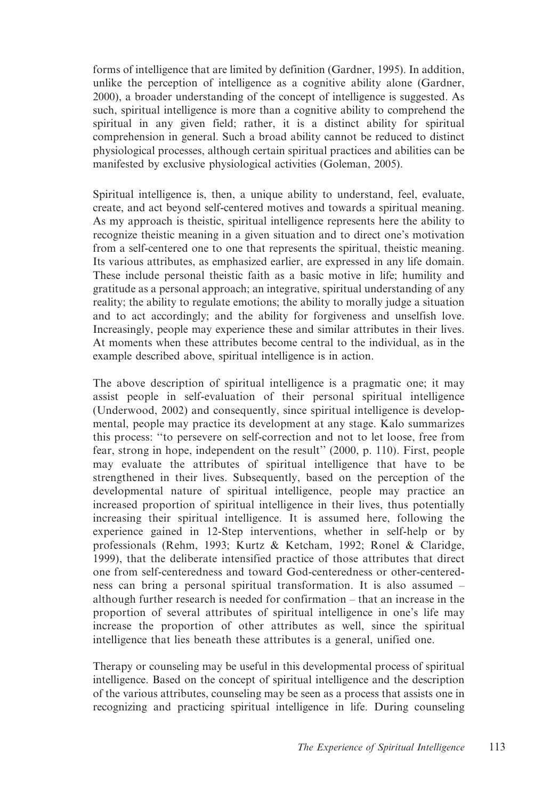forms of intelligence that are limited by definition (Gardner, 1995). In addition, unlike the perception of intelligence as a cognitive ability alone (Gardner, 2000), a broader understanding of the concept of intelligence is suggested. As such, spiritual intelligence is more than a cognitive ability to comprehend the spiritual in any given field; rather, it is a distinct ability for spiritual comprehension in general. Such a broad ability cannot be reduced to distinct physiological processes, although certain spiritual practices and abilities can be manifested by exclusive physiological activities (Goleman, 2005).

Spiritual intelligence is, then, a unique ability to understand, feel, evaluate, create, and act beyond self-centered motives and towards a spiritual meaning. As my approach is theistic, spiritual intelligence represents here the ability to recognize theistic meaning in a given situation and to direct one's motivation from a self-centered one to one that represents the spiritual, theistic meaning. Its various attributes, as emphasized earlier, are expressed in any life domain. These include personal theistic faith as a basic motive in life; humility and gratitude as a personal approach; an integrative, spiritual understanding of any reality; the ability to regulate emotions; the ability to morally judge a situation and to act accordingly; and the ability for forgiveness and unselfish love. Increasingly, people may experience these and similar attributes in their lives. At moments when these attributes become central to the individual, as in the example described above, spiritual intelligence is in action.

The above description of spiritual intelligence is a pragmatic one; it may assist people in self-evaluation of their personal spiritual intelligence (Underwood, 2002) and consequently, since spiritual intelligence is developmental, people may practice its development at any stage. Kalo summarizes this process: ''to persevere on self-correction and not to let loose, free from fear, strong in hope, independent on the result'' (2000, p. 110). First, people may evaluate the attributes of spiritual intelligence that have to be strengthened in their lives. Subsequently, based on the perception of the developmental nature of spiritual intelligence, people may practice an increased proportion of spiritual intelligence in their lives, thus potentially increasing their spiritual intelligence. It is assumed here, following the experience gained in 12-Step interventions, whether in self-help or by professionals (Rehm, 1993; Kurtz & Ketcham, 1992; Ronel & Claridge, 1999), that the deliberate intensified practice of those attributes that direct one from self-centeredness and toward God-centeredness or other-centeredness can bring a personal spiritual transformation. It is also assumed – although further research is needed for confirmation – that an increase in the proportion of several attributes of spiritual intelligence in one's life may increase the proportion of other attributes as well, since the spiritual intelligence that lies beneath these attributes is a general, unified one.

Therapy or counseling may be useful in this developmental process of spiritual intelligence. Based on the concept of spiritual intelligence and the description of the various attributes, counseling may be seen as a process that assists one in recognizing and practicing spiritual intelligence in life. During counseling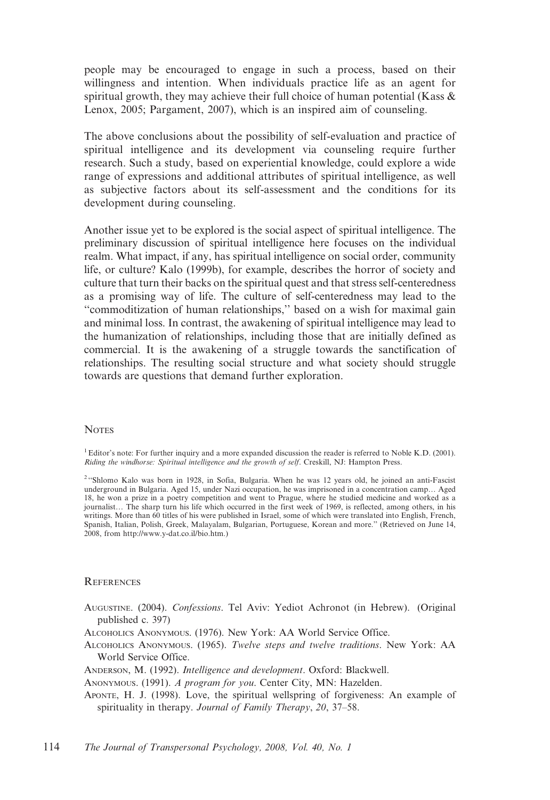people may be encouraged to engage in such a process, based on their willingness and intention. When individuals practice life as an agent for spiritual growth, they may achieve their full choice of human potential (Kass  $\&$ Lenox, 2005; Pargament, 2007), which is an inspired aim of counseling.

The above conclusions about the possibility of self-evaluation and practice of spiritual intelligence and its development via counseling require further research. Such a study, based on experiential knowledge, could explore a wide range of expressions and additional attributes of spiritual intelligence, as well as subjective factors about its self-assessment and the conditions for its development during counseling.

Another issue yet to be explored is the social aspect of spiritual intelligence. The preliminary discussion of spiritual intelligence here focuses on the individual realm. What impact, if any, has spiritual intelligence on social order, community life, or culture? Kalo (1999b), for example, describes the horror of society and culture that turn their backs on the spiritual quest and that stress self-centeredness as a promising way of life. The culture of self-centeredness may lead to the ''commoditization of human relationships,'' based on a wish for maximal gain and minimal loss. In contrast, the awakening of spiritual intelligence may lead to the humanization of relationships, including those that are initially defined as commercial. It is the awakening of a struggle towards the sanctification of relationships. The resulting social structure and what society should struggle towards are questions that demand further exploration.

#### **NOTES**

1Editor's note: For further inquiry and a more expanded discussion the reader is referred to Noble K.D. (2001). Riding the windhorse: Spiritual intelligence and the growth of self. Creskill, NJ: Hampton Press.

## **REFERENCES**

- AUGUSTINE. (2004). Confessions. Tel Aviv: Yediot Achronot (in Hebrew). (Original published c. 397)
- ALCOHOLICS ANONYMOUS. (1976). New York: AA World Service Office.
- ALCOHOLICS ANONYMOUS. (1965). Twelve steps and twelve traditions. New York: AA World Service Office.
- ANDERSON, M. (1992). Intelligence and development. Oxford: Blackwell.
- ANONYMOUS. (1991). A program for you. Center City, MN: Hazelden.
- APONTE, H. J. (1998). Love, the spiritual wellspring of forgiveness: An example of spirituality in therapy. Journal of Family Therapy, 20, 37-58.

<sup>&</sup>lt;sup>2</sup> "Shlomo Kalo was born in 1928, in Sofia, Bulgaria. When he was 12 years old, he joined an anti-Fascist underground in Bulgaria. Aged 15, under Nazi occupation, he was imprisoned in a concentration camp… Aged 18, he won a prize in a poetry competition and went to Prague, where he studied medicine and worked as a journalist… The sharp turn his life which occurred in the first week of 1969, is reflected, among others, in his writings. More than 60 titles of his were published in Israel, some of which were translated into English, French, Spanish, Italian, Polish, Greek, Malayalam, Bulgarian, Portuguese, Korean and more.'' (Retrieved on June 14, 2008, from http://www.y-dat.co.il/bio.htm.)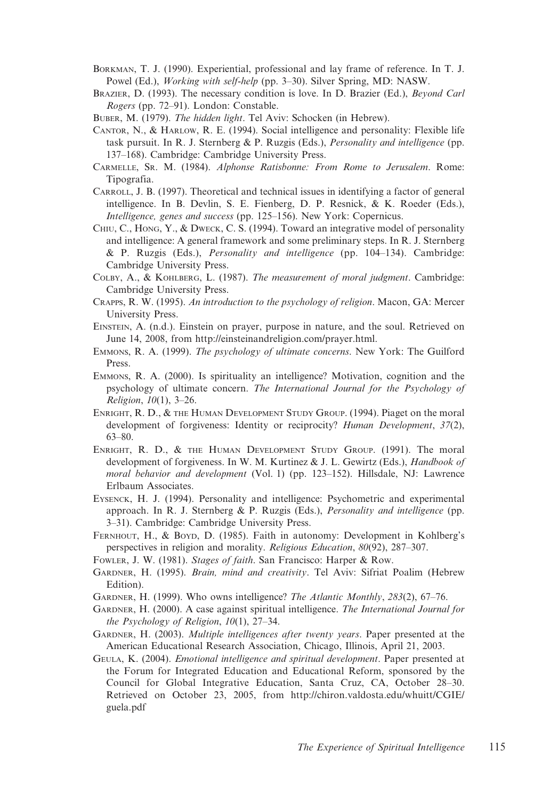- BORKMAN, T. J. (1990). Experiential, professional and lay frame of reference. In T. J. Powel (Ed.), Working with self-help (pp. 3–30). Silver Spring, MD: NASW.
- BRAZIER, D. (1993). The necessary condition is love. In D. Brazier (Ed.), Beyond Carl Rogers (pp. 72–91). London: Constable.
- BUBER, M. (1979). The hidden light. Tel Aviv: Schocken (in Hebrew).
- CANTOR, N., & HARLOW, R. E. (1994). Social intelligence and personality: Flexible life task pursuit. In R. J. Sternberg & P. Ruzgis (Eds.), *Personality and intelligence* (pp. 137–168). Cambridge: Cambridge University Press.
- CARMELLE, SR. M. (1984). Alphonse Ratisbonne: From Rome to Jerusalem. Rome: Tipografia.
- CARROLL, J. B. (1997). Theoretical and technical issues in identifying a factor of general intelligence. In B. Devlin, S. E. Fienberg, D. P. Resnick, & K. Roeder (Eds.), Intelligence, genes and success (pp. 125–156). New York: Copernicus.
- CHIU, C., HONG, Y., & DWECK, C. S. (1994). Toward an integrative model of personality and intelligence: A general framework and some preliminary steps. In R. J. Sternberg & P. Ruzgis (Eds.), Personality and intelligence (pp. 104–134). Cambridge: Cambridge University Press.
- COLBY, A., & KOHLBERG, L. (1987). The measurement of moral judgment. Cambridge: Cambridge University Press.
- CRAPPS, R. W. (1995). An introduction to the psychology of religion. Macon, GA: Mercer University Press.
- EINSTEIN, A. (n.d.). Einstein on prayer, purpose in nature, and the soul. Retrieved on June 14, 2008, from http://einsteinandreligion.com/prayer.html.
- EMMONS, R. A. (1999). The psychology of ultimate concerns. New York: The Guilford Press.
- EMMONS, R. A. (2000). Is spirituality an intelligence? Motivation, cognition and the psychology of ultimate concern. The International Journal for the Psychology of Religion, 10(1), 3–26.
- ENRIGHT, R. D., & THE HUMAN DEVELOPMENT STUDY GROUP. (1994). Piaget on the moral development of forgiveness: Identity or reciprocity? Human Development, 37(2), 63–80.
- ENRIGHT, R. D., & THE HUMAN DEVELOPMENT STUDY GROUP. (1991). The moral development of forgiveness. In W. M. Kurtinez & J. L. Gewirtz (Eds.), Handbook of moral behavior and development (Vol. 1) (pp. 123–152). Hillsdale, NJ: Lawrence Erlbaum Associates.
- EYSENCK, H. J. (1994). Personality and intelligence: Psychometric and experimental approach. In R. J. Sternberg & P. Ruzgis (Eds.), *Personality and intelligence* (pp. 3–31). Cambridge: Cambridge University Press.
- FERNHOUT, H., & BOYD, D. (1985). Faith in autonomy: Development in Kohlberg's perspectives in religion and morality. Religious Education, 80(92), 287–307.
- FOWLER, J. W. (1981). Stages of faith. San Francisco: Harper & Row.
- GARDNER, H. (1995). Brain, mind and creativity. Tel Aviv: Sifriat Poalim (Hebrew Edition).
- GARDNER, H. (1999). Who owns intelligence? The Atlantic Monthly, 283(2), 67–76.
- GARDNER, H. (2000). A case against spiritual intelligence. The International Journal for the Psychology of Religion, 10(1), 27–34.
- GARDNER, H. (2003). Multiple intelligences after twenty years. Paper presented at the American Educational Research Association, Chicago, Illinois, April 21, 2003.
- GEULA, K. (2004). Emotional intelligence and spiritual development. Paper presented at the Forum for Integrated Education and Educational Reform, sponsored by the Council for Global Integrative Education, Santa Cruz, CA, October 28–30. Retrieved on October 23, 2005, from http://chiron.valdosta.edu/whuitt/CGIE/ guela.pdf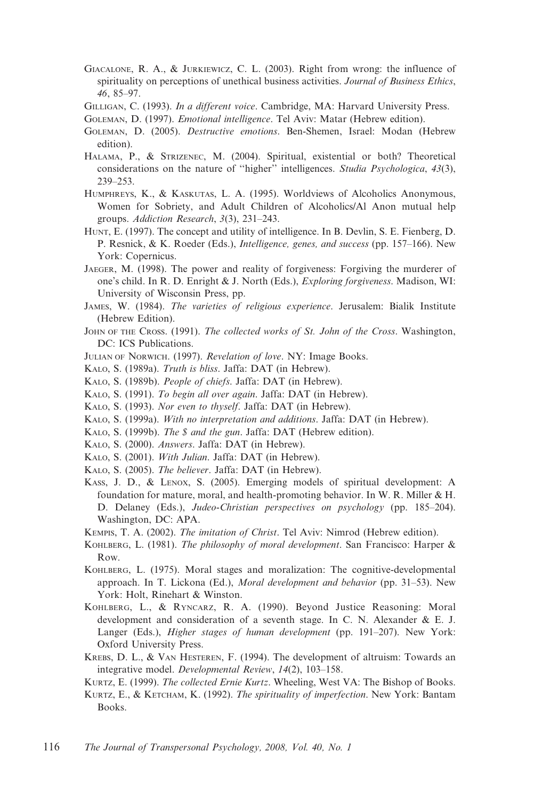- GIACALONE, R. A., & JURKIEWICZ, C. L. (2003). Right from wrong: the influence of spirituality on perceptions of unethical business activities. Journal of Business Ethics, 46, 85–97.
- GILLIGAN, C. (1993). In a different voice. Cambridge, MA: Harvard University Press.
- GOLEMAN, D. (1997). Emotional intelligence. Tel Aviv: Matar (Hebrew edition).
- GOLEMAN, D. (2005). Destructive emotions. Ben-Shemen, Israel: Modan (Hebrew edition).
- HALAMA, P., & STRIZENEC, M. (2004). Spiritual, existential or both? Theoretical considerations on the nature of "higher" intelligences. Studia Psychologica, 43(3), 239–253.
- HUMPHREYS, K., & KASKUTAS, L. A. (1995). Worldviews of Alcoholics Anonymous, Women for Sobriety, and Adult Children of Alcoholics/Al Anon mutual help groups. Addiction Research, 3(3), 231–243.
- HUNT, E. (1997). The concept and utility of intelligence. In B. Devlin, S. E. Fienberg, D. P. Resnick, & K. Roeder (Eds.), Intelligence, genes, and success (pp. 157–166). New York: Copernicus.
- JAEGER, M. (1998). The power and reality of forgiveness: Forgiving the murderer of one's child. In R. D. Enright & J. North (Eds.), Exploring forgiveness. Madison, WI: University of Wisconsin Press, pp.
- JAMES, W. (1984). The varieties of religious experience. Jerusalem: Bialik Institute (Hebrew Edition).
- JOHN OF THE CROSS. (1991). The collected works of St. John of the Cross. Washington, DC: ICS Publications.
- JULIAN OF NORWICH. (1997). Revelation of love. NY: Image Books.
- KALO, S. (1989a). Truth is bliss. Jaffa: DAT (in Hebrew).
- KALO, S. (1989b). People of chiefs. Jaffa: DAT (in Hebrew).
- KALO, S. (1991). To begin all over again. Jaffa: DAT (in Hebrew).
- KALO, S. (1993). Nor even to thyself. Jaffa: DAT (in Hebrew).
- KALO, S. (1999a). With no interpretation and additions. Jaffa: DAT (in Hebrew).
- KALO, S. (1999b). The \$ and the gun. Jaffa: DAT (Hebrew edition).
- KALO, S. (2000). Answers. Jaffa: DAT (in Hebrew).
- KALO, S. (2001). With Julian. Jaffa: DAT (in Hebrew).
- KALO, S. (2005). The believer. Jaffa: DAT (in Hebrew).
- KASS, J. D., & LENOX, S. (2005). Emerging models of spiritual development: A foundation for mature, moral, and health-promoting behavior. In W. R. Miller & H. D. Delaney (Eds.), Judeo-Christian perspectives on psychology (pp. 185–204). Washington, DC: APA.
- KEMPIS, T. A. (2002). The imitation of Christ. Tel Aviv: Nimrod (Hebrew edition).
- KOHLBERG, L. (1981). The philosophy of moral development. San Francisco: Harper & Row.
- KOHLBERG, L. (1975). Moral stages and moralization: The cognitive-developmental approach. In T. Lickona (Ed.), Moral development and behavior (pp. 31–53). New York: Holt, Rinehart & Winston.
- KOHLBERG, L., & RYNCARZ, R. A. (1990). Beyond Justice Reasoning: Moral development and consideration of a seventh stage. In C. N. Alexander & E. J. Langer (Eds.), Higher stages of human development (pp. 191–207). New York: Oxford University Press.
- KREBS, D. L., & VAN HESTEREN, F. (1994). The development of altruism: Towards an integrative model. Developmental Review, 14(2), 103–158.
- KURTZ, E. (1999). The collected Ernie Kurtz. Wheeling, West VA: The Bishop of Books.
- KURTZ, E., & KETCHAM, K. (1992). The spirituality of imperfection. New York: Bantam Books.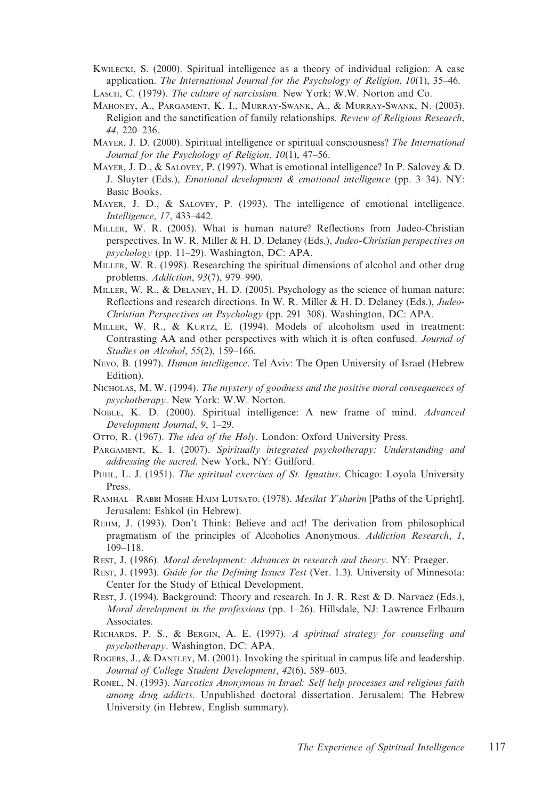- KWILECKI, S. (2000). Spiritual intelligence as a theory of individual religion: A case application. The International Journal for the Psychology of Religion, 10(1), 35-46.
- LASCH, C. (1979). The culture of narcissism. New York: W.W. Norton and Co.
- MAHONEY, A., PARGAMENT, K. I., MURRAY-SWANK, A., & MURRAY-SWANK, N. (2003). Religion and the sanctification of family relationships. Review of Religious Research, 44, 220–236.
- MAYER, J. D. (2000). Spiritual intelligence or spiritual consciousness? The International Journal for the Psychology of Religion, 10(1), 47–56.
- MAYER, J. D., & SALOVEY, P. (1997). What is emotional intelligence? In P. Salovey & D. J. Sluyter (Eds.), Emotional development & emotional intelligence (pp. 3–34). NY: Basic Books.
- MAYER, J. D., & SALOVEY, P. (1993). The intelligence of emotional intelligence. Intelligence, 17, 433–442.
- MILLER, W. R. (2005). What is human nature? Reflections from Judeo-Christian perspectives. In W. R. Miller & H. D. Delaney (Eds.), Judeo-Christian perspectives on psychology (pp. 11–29). Washington, DC: APA.
- MILLER, W. R. (1998). Researching the spiritual dimensions of alcohol and other drug problems. Addiction, 93(7), 979–990.
- MILLER, W. R., & DELANEY, H. D. (2005). Psychology as the science of human nature: Reflections and research directions. In W. R. Miller & H. D. Delaney (Eds.), Judeo-Christian Perspectives on Psychology (pp. 291–308). Washington, DC: APA.
- MILLER, W. R., & KURTZ, E. (1994). Models of alcoholism used in treatment: Contrasting AA and other perspectives with which it is often confused. Journal of Studies on Alcohol, 55(2), 159–166.
- Nevo, B. (1997). Human intelligence. Tel Aviv: The Open University of Israel (Hebrew Edition).
- NICHOLAS, M. W. (1994). The mystery of goodness and the positive moral consequences of psychotherapy. New York: W.W. Norton.
- NOBLE, K. D. (2000). Spiritual intelligence: A new frame of mind. Advanced Development Journal, 9, 1–29.
- OTTO, R. (1967). The idea of the Holy. London: Oxford University Press.
- PARGAMENT, K. I. (2007). Spiritually integrated psychotherapy: Understanding and addressing the sacred. New York, NY: Guilford.
- PUHL, L. J. (1951). The spiritual exercises of St. Ignatius. Chicago: Loyola University Press.
- RAMHAL RABBI MOSHE HAIM LUTSATO. (1978). Mesilat Y'sharim [Paths of the Upright]. Jerusalem: Eshkol (in Hebrew).
- REHM, J. (1993). Don't Think: Believe and act! The derivation from philosophical pragmatism of the principles of Alcoholics Anonymous. Addiction Research, 1, 109–118.
- REST, J. (1986). Moral development: Advances in research and theory. NY: Praeger.
- REST, J. (1993). Guide for the Defining Issues Test (Ver. 1.3). University of Minnesota: Center for the Study of Ethical Development.
- REST, J. (1994). Background: Theory and research. In J. R. Rest & D. Narvaez (Eds.), *Moral development in the professions* (pp.  $1-26$ ). Hillsdale, NJ: Lawrence Erlbaum Associates.
- RICHARDS, P. S., & BERGIN, A. E. (1997). A spiritual strategy for counseling and psychotherapy. Washington, DC: APA.
- ROGERS, J., & DANTLEY, M. (2001). Invoking the spiritual in campus life and leadership. Journal of College Student Development, 42(6), 589–603.
- RONEL, N. (1993). Narcotics Anonymous in Israel: Self help processes and religious faith among drug addicts. Unpublished doctoral dissertation. Jerusalem: The Hebrew University (in Hebrew, English summary).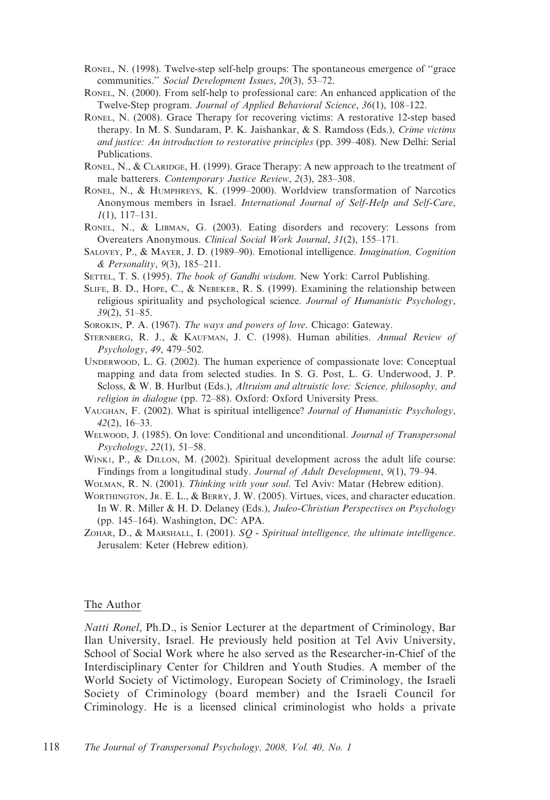- RONEL, N. (1998). Twelve-step self-help groups: The spontaneous emergence of ''grace communities.'' Social Development Issues, 20(3), 53–72.
- RONEL, N. (2000). From self-help to professional care: An enhanced application of the Twelve-Step program. Journal of Applied Behavioral Science, 36(1), 108–122.
- RONEL, N. (2008). Grace Therapy for recovering victims: A restorative 12-step based therapy. In M. S. Sundaram, P. K. Jaishankar, & S. Ramdoss (Eds.), Crime victims and justice: An introduction to restorative principles (pp. 399–408). New Delhi: Serial Publications.
- RONEL, N., & CLARIDGE, H. (1999). Grace Therapy: A new approach to the treatment of male batterers. Contemporary Justice Review, 2(3), 283–308.
- RONEL, N., & HUMPHREYS, K. (1999–2000). Worldview transformation of Narcotics Anonymous members in Israel. International Journal of Self-Help and Self-Care, 1(1), 117–131.
- RONEL, N., & LIBMAN, G. (2003). Eating disorders and recovery: Lessons from Overeaters Anonymous. Clinical Social Work Journal, 31(2), 155–171.
- SALOVEY, P., & MAYER, J. D. (1989–90). Emotional intelligence. Imagination, Cognition & Personality, 9(3), 185–211.
- SETTEL, T. S. (1995). The book of Gandhi wisdom. New York: Carrol Publishing.
- SLIFE, B. D., HOPE, C., & NEBEKER, R. S. (1999). Examining the relationship between religious spirituality and psychological science. Journal of Humanistic Psychology, 39(2), 51–85.
- SOROKIN, P. A. (1967). The ways and powers of love. Chicago: Gateway.
- STERNBERG, R. J., & KAUFMAN, J. C. (1998). Human abilities. Annual Review of Psychology, 49, 479–502.
- UNDERWOOD, L. G. (2002). The human experience of compassionate love: Conceptual mapping and data from selected studies. In S. G. Post, L. G. Underwood, J. P. Scloss, & W. B. Hurlbut (Eds.), Altruism and altruistic love: Science, philosophy, and religion in dialogue (pp. 72–88). Oxford: Oxford University Press.
- VAUGHAN, F. (2002). What is spiritual intelligence? Journal of Humanistic Psychology, 42(2), 16–33.
- WELWOOD, J. (1985). On love: Conditional and unconditional. Journal of Transpersonal Psychology, 22(1), 51–58.
- WINK1, P., & DILLON, M. (2002). Spiritual development across the adult life course: Findings from a longitudinal study. Journal of Adult Development, 9(1), 79–94.
- WOLMAN, R. N. (2001). Thinking with your soul. Tel Aviv: Matar (Hebrew edition).
- WORTHINGTON, JR. E. L., & BERRY, J. W. (2005). Virtues, vices, and character education. In W. R. Miller & H. D. Delaney (Eds.), Judeo-Christian Perspectives on Psychology (pp. 145–164). Washington, DC: APA.
- ZOHAR, D., & MARSHALL, I. (2001). SQ Spiritual intelligence, the ultimate intelligence. Jerusalem: Keter (Hebrew edition).

## The Author

Natti Ronel, Ph.D., is Senior Lecturer at the department of Criminology, Bar Ilan University, Israel. He previously held position at Tel Aviv University, School of Social Work where he also served as the Researcher-in-Chief of the Interdisciplinary Center for Children and Youth Studies. A member of the World Society of Victimology, European Society of Criminology, the Israeli Society of Criminology (board member) and the Israeli Council for Criminology. He is a licensed clinical criminologist who holds a private